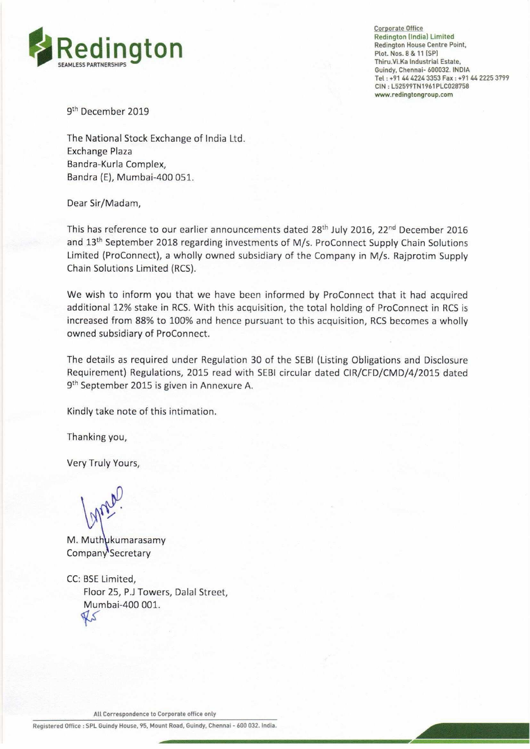

Corporate Office Thiru.Vi.Ka Industrial Estate, Tel : +91 44 4224 3353 Fax : +91 44 2225 3799 CIN : L52599TN1961PLC028758 www.redingtongroup.com

9<sup>th</sup> December 2019

The National Stock Exchange of India Ltd. Exchange Plaza Bandra-Kurla Complex, Bandra (E), Mumbai-400 051.

Dear Sir/Madam,

This has reference to our earlier announcements dated 28<sup>th</sup> July 2016, 22<sup>nd</sup> December 2016 and 13<sup>th</sup> September 2018 regarding investments of M/s. ProConnect Supply Chain Solutions Limited (ProConnect), a wholly owned subsidiary of the Company in M/s. Rajprotim Supply Chain Solutions Limited (RCS).

We wish to inform you that we have been informed by ProConnect that it had acquired additional 12% stake in RCS. With this acquisition, the total holding of ProConnect in RCS is increased from 88% to 100% and hence pursuant to this acquisition, RCS becomes a wholly owned subsidiary of ProConnect. and 13<sup>th</sup> September 2018 regarding investments<br>Limited (ProConnect), a wholly owned subsidiar<br>Chain Solutions Limited (RCS).<br>We wish to inform you that we have been inf<br>additional 123% stake in RCS. With this acquisite<br>i

The details as required under Regulation 30 of the SEBI (Listing Obligations and Disclosure Requirement) Regulations, 2015 read with SEBI circular dated CIR/CFD/CMD/4/2015 dated 9<sup>th</sup> September 2015 is given in Annexure A.

Kindly take note of this intimation.

Thanking you,

Very Truly Yours,

ne.

M. Muthukumarasamy Company'Secretary

CC: BSE Limited, Floor 25, P.J Towers, Dalal Street, Mumbai-400 001.